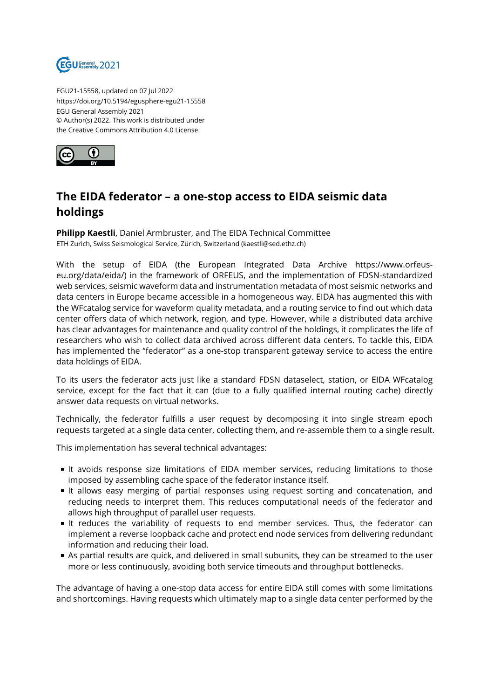

EGU21-15558, updated on 07 Jul 2022 https://doi.org/10.5194/egusphere-egu21-15558 EGU General Assembly 2021 © Author(s) 2022. This work is distributed under the Creative Commons Attribution 4.0 License.



## **The EIDA federator – a one-stop access to EIDA seismic data holdings**

**Philipp Kaestli**, Daniel Armbruster, and The EIDA Technical Committee ETH Zurich, Swiss Seismological Service, Zürich, Switzerland (kaestli@sed.ethz.ch)

With the setup of EIDA (the European Integrated Data Archive https://www.orfeuseu.org/data/eida/) in the framework of ORFEUS, and the implementation of FDSN-standardized web services, seismic waveform data and instrumentation metadata of most seismic networks and data centers in Europe became accessible in a homogeneous way. EIDA has augmented this with the WFcatalog service for waveform quality metadata, and a routing service to find out which data center offers data of which network, region, and type. However, while a distributed data archive has clear advantages for maintenance and quality control of the holdings, it complicates the life of researchers who wish to collect data archived across different data centers. To tackle this, EIDA has implemented the "federator" as a one-stop transparent gateway service to access the entire data holdings of EIDA.

To its users the federator acts just like a standard FDSN dataselect, station, or EIDA WFcatalog service, except for the fact that it can (due to a fully qualified internal routing cache) directly answer data requests on virtual networks.

Technically, the federator fulfills a user request by decomposing it into single stream epoch requests targeted at a single data center, collecting them, and re-assemble them to a single result.

This implementation has several technical advantages:

- It avoids response size limitations of EIDA member services, reducing limitations to those imposed by assembling cache space of the federator instance itself.
- It allows easy merging of partial responses using request sorting and concatenation, and reducing needs to interpret them. This reduces computational needs of the federator and allows high throughput of parallel user requests.
- It reduces the variability of requests to end member services. Thus, the federator can implement a reverse loopback cache and protect end node services from delivering redundant information and reducing their load.
- As partial results are quick, and delivered in small subunits, they can be streamed to the user more or less continuously, avoiding both service timeouts and throughput bottlenecks.

The advantage of having a one-stop data access for entire EIDA still comes with some limitations and shortcomings. Having requests which ultimately map to a single data center performed by the